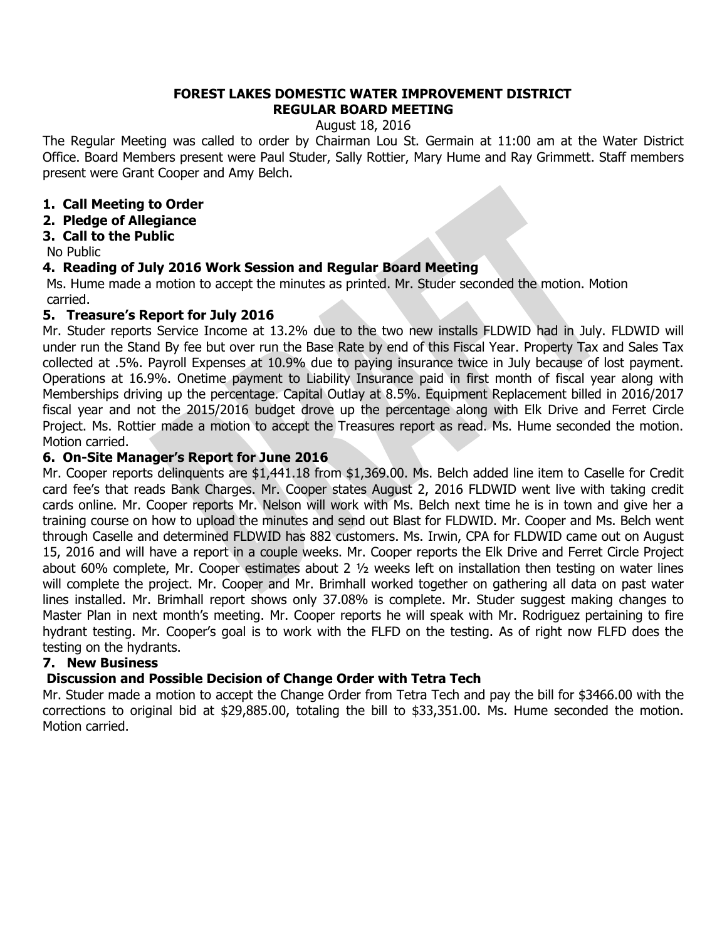### **FOREST LAKES DOMESTIC WATER IMPROVEMENT DISTRICT REGULAR BOARD MEETING**

August 18, 2016

The Regular Meeting was called to order by Chairman Lou St. Germain at 11:00 am at the Water District Office. Board Members present were Paul Studer, Sally Rottier, Mary Hume and Ray Grimmett. Staff members present were Grant Cooper and Amy Belch.

## **1. Call Meeting to Order**

**2. Pledge of Allegiance**

## **3. Call to the Public**

No Public

## **4. Reading of July 2016 Work Session and Regular Board Meeting**

Ms. Hume made a motion to accept the minutes as printed. Mr. Studer seconded the motion. Motion carried.

## **5. Treasure's Report for July 2016**

Mr. Studer reports Service Income at 13.2% due to the two new installs FLDWID had in July. FLDWID will under run the Stand By fee but over run the Base Rate by end of this Fiscal Year. Property Tax and Sales Tax collected at .5%. Payroll Expenses at 10.9% due to paying insurance twice in July because of lost payment. Operations at 16.9%. Onetime payment to Liability Insurance paid in first month of fiscal year along with Memberships driving up the percentage. Capital Outlay at 8.5%. Equipment Replacement billed in 2016/2017 fiscal year and not the 2015/2016 budget drove up the percentage along with Elk Drive and Ferret Circle Project. Ms. Rottier made a motion to accept the Treasures report as read. Ms. Hume seconded the motion. Motion carried.

## **6. On-Site Manager's Report for June 2016**

Mr. Cooper reports delinquents are \$1,441.18 from \$1,369.00. Ms. Belch added line item to Caselle for Credit card fee's that reads Bank Charges. Mr. Cooper states August 2, 2016 FLDWID went live with taking credit cards online. Mr. Cooper reports Mr. Nelson will work with Ms. Belch next time he is in town and give her a training course on how to upload the minutes and send out Blast for FLDWID. Mr. Cooper and Ms. Belch went through Caselle and determined FLDWID has 882 customers. Ms. Irwin, CPA for FLDWID came out on August 15, 2016 and will have a report in a couple weeks. Mr. Cooper reports the Elk Drive and Ferret Circle Project about 60% complete, Mr. Cooper estimates about 2 ½ weeks left on installation then testing on water lines will complete the project. Mr. Cooper and Mr. Brimhall worked together on gathering all data on past water lines installed. Mr. Brimhall report shows only 37.08% is complete. Mr. Studer suggest making changes to Master Plan in next month's meeting. Mr. Cooper reports he will speak with Mr. Rodriguez pertaining to fire hydrant testing. Mr. Cooper's goal is to work with the FLFD on the testing. As of right now FLFD does the testing on the hydrants.

# **7. New Business**

# **Discussion and Possible Decision of Change Order with Tetra Tech**

Mr. Studer made a motion to accept the Change Order from Tetra Tech and pay the bill for \$3466.00 with the corrections to original bid at \$29,885.00, totaling the bill to \$33,351.00. Ms. Hume seconded the motion. Motion carried.